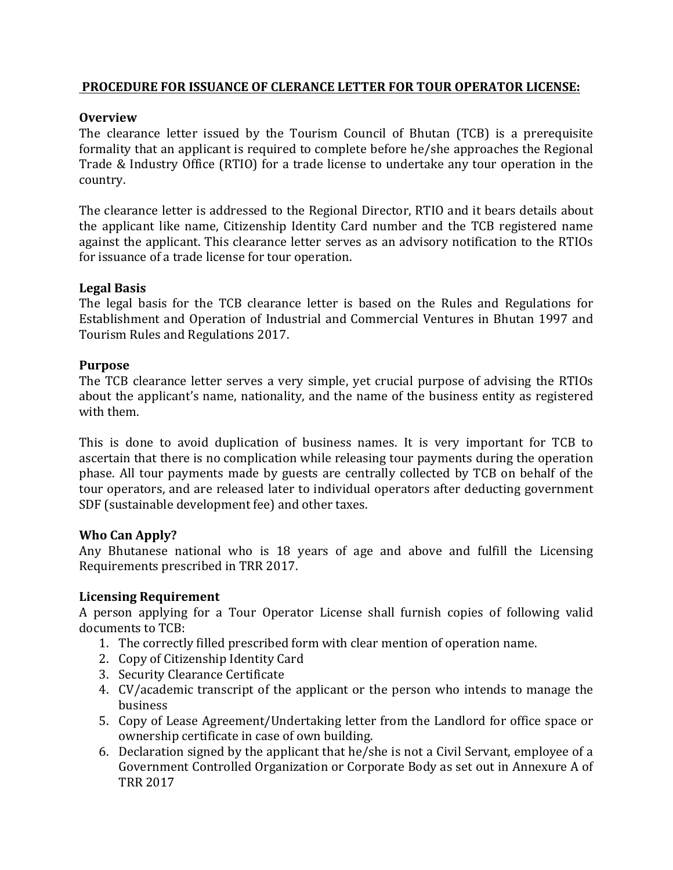### **PROCEDURE FOR ISSUANCE OF CLERANCE LETTER FOR TOUR OPERATOR LICENSE:**

## **Overview**

The clearance letter issued by the Tourism Council of Bhutan (TCB) is a prerequisite formality that an applicant is required to complete before he/she approaches the Regional Trade & Industry Office (RTIO) for a trade license to undertake any tour operation in the country.

The clearance letter is addressed to the Regional Director, RTIO and it bears details about the applicant like name, Citizenship Identity Card number and the TCB registered name against the applicant. This clearance letter serves as an advisory notification to the RTIOs for issuance of a trade license for tour operation.

### **Legal Basis**

The legal basis for the TCB clearance letter is based on the Rules and Regulations for Establishment and Operation of Industrial and Commercial Ventures in Bhutan 1997 and Tourism Rules and Regulations 2017.

### **Purpose**

The TCB clearance letter serves a very simple, yet crucial purpose of advising the RTIOs about the applicant's name, nationality, and the name of the business entity as registered with them.

This is done to avoid duplication of business names. It is very important for TCB to ascertain that there is no complication while releasing tour payments during the operation phase. All tour payments made by guests are centrally collected by TCB on behalf of the tour operators, and are released later to individual operators after deducting government SDF (sustainable development fee) and other taxes.

### **Who Can Apply?**

Any Bhutanese national who is 18 years of age and above and fulfill the Licensing Requirements prescribed in TRR 2017.

# **Licensing Requirement**

A person applying for a Tour Operator License shall furnish copies of following valid documents to TCB:

- 1. The correctly filled prescribed form with clear mention of operation name.
- 2. Copy of Citizenship Identity Card
- 3. Security Clearance Certificate
- 4. CV/academic transcript of the applicant or the person who intends to manage the business
- 5. Copy of Lease Agreement/Undertaking letter from the Landlord for office space or ownership certificate in case of own building.
- 6. Declaration signed by the applicant that he/she is not a Civil Servant, employee of a Government Controlled Organization or Corporate Body as set out in Annexure A of TRR 2017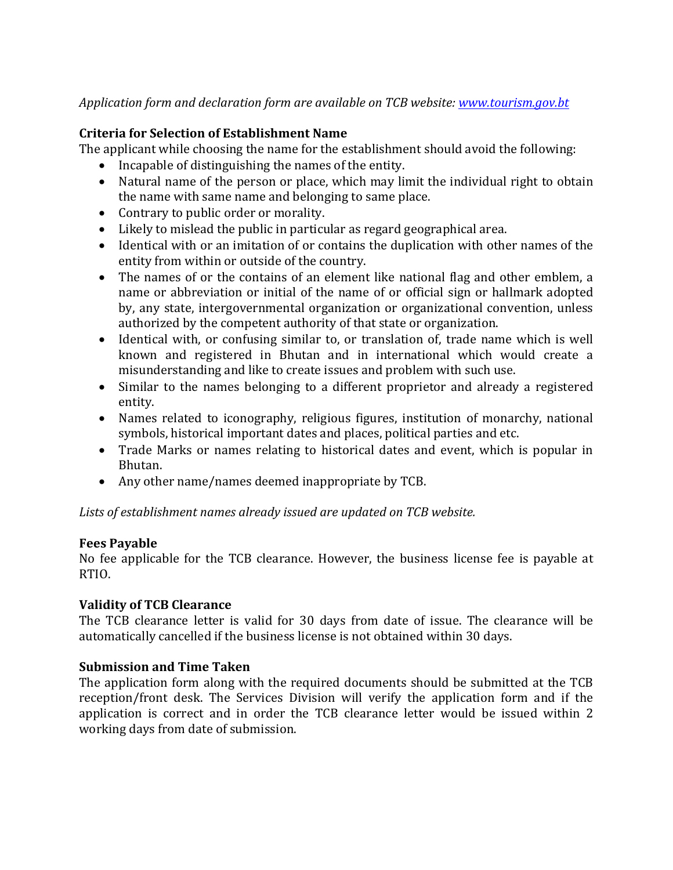# Application form and declaration form are available on TCB website: www.tourism.gov.bt

### **Criteria for Selection of Establishment Name**

The applicant while choosing the name for the establishment should avoid the following:

- $\bullet$  Incapable of distinguishing the names of the entity.
- Natural name of the person or place, which may limit the individual right to obtain the name with same name and belonging to same place.
- Contrary to public order or morality.
- Likely to mislead the public in particular as regard geographical area.
- Identical with or an imitation of or contains the duplication with other names of the entity from within or outside of the country.
- The names of or the contains of an element like national flag and other emblem, a name or abbreviation or initial of the name of or official sign or hallmark adopted by, any state, intergovernmental organization or organizational convention, unless authorized by the competent authority of that state or organization.
- Identical with, or confusing similar to, or translation of, trade name which is well known and registered in Bhutan and in international which would create a misunderstanding and like to create issues and problem with such use.
- Similar to the names belonging to a different proprietor and already a registered entity.
- Names related to iconography, religious figures, institution of monarchy, national symbols, historical important dates and places, political parties and etc.
- Trade Marks or names relating to historical dates and event, which is popular in Bhutan.
- Any other name/names deemed inappropriate by TCB.

Lists of establishment names already issued are updated on TCB website.

### **Fees Payable**

No fee applicable for the TCB clearance. However, the business license fee is payable at RTIO.

### **Validity of TCB Clearance**

The TCB clearance letter is valid for 30 days from date of issue. The clearance will be automatically cancelled if the business license is not obtained within 30 days.

### **Submission and Time Taken**

The application form along with the required documents should be submitted at the TCB reception/front desk. The Services Division will verify the application form and if the application is correct and in order the TCB clearance letter would be issued within 2 working days from date of submission.